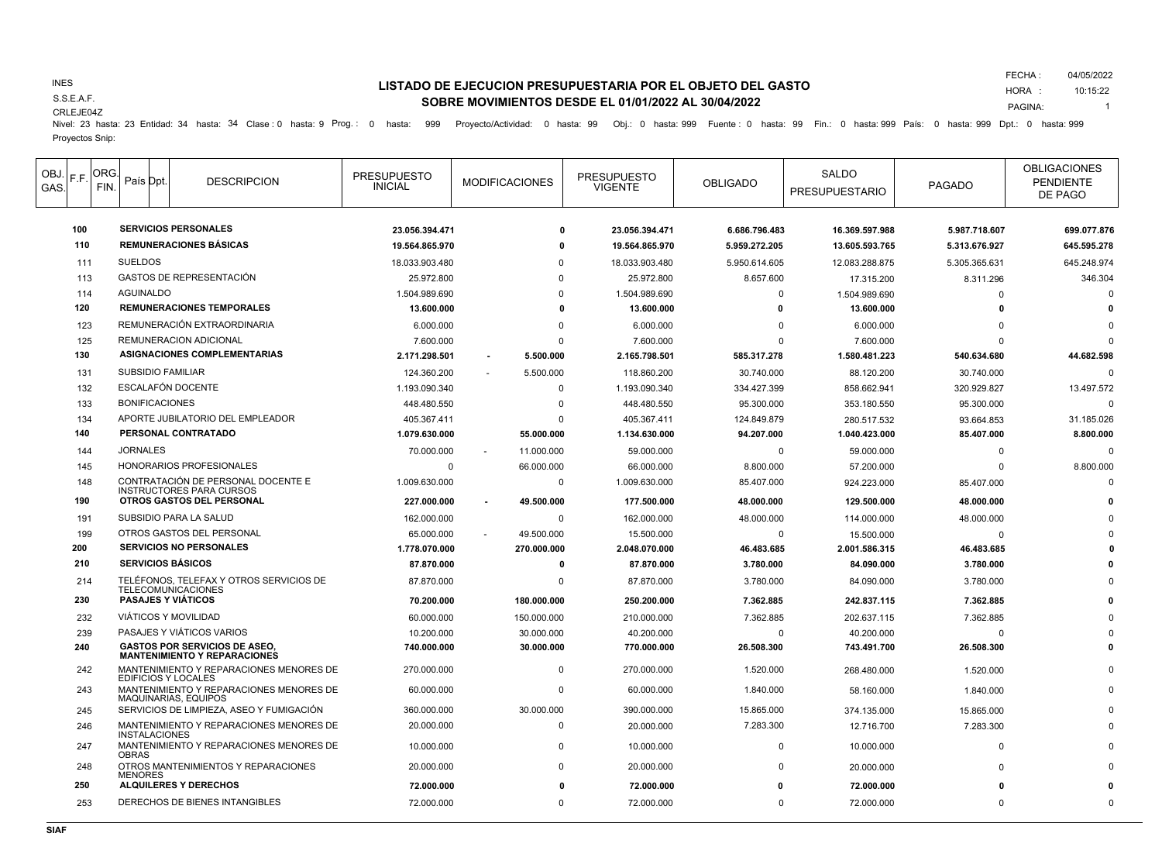### INES

S.S.E.A.F.

# CRLEJE04Z Proyectos Snip:

## **LISTADO DE EJECUCION PRESUPUESTARIA POR EL OBJETO DEL GASTO SOBRE MOVIMIENTOS DESDE EL 01/01/2022 AL 30/04/2022**

FECHA : 04/05/2022

HORA : PAGINA: 10:15:22 1

Nivel: 23 hasta: 23 Entidad: 34 hasta: 34 Clase : 0 hasta: 9 Prog.: 0 hasta: 999 Proyecto/Actividad: 0 hasta: 99 Obj.: 0 hasta: 999 Fuente : 0 hasta: 99 Fin.: 0 hasta: 999 País: 0 hasta: 999 Dpt.: 0 hasta: 999

| OBJ.<br>GAS. | F.F. | ORG.<br>FIN.    | País Dpt.             | <b>DESCRIPCION</b>                                                          | <b>PRESUPUESTO</b><br><b>INICIAL</b> | <b>MODIFICACIONES</b> | <b>PRESUPUESTO</b><br><b>VIGENTE</b> | <b>OBLIGADO</b> | <b>SALDO</b><br><b>PRESUPUESTARIO</b> | <b>PAGADO</b> | <b>OBLIGACIONES</b><br><b>PENDIENTE</b><br>DE PAGO |
|--------------|------|-----------------|-----------------------|-----------------------------------------------------------------------------|--------------------------------------|-----------------------|--------------------------------------|-----------------|---------------------------------------|---------------|----------------------------------------------------|
|              | 100  |                 |                       | <b>SERVICIOS PERSONALES</b>                                                 | 23.056.394.471                       | O                     | 23.056.394.471                       | 6.686.796.483   | 16.369.597.988                        | 5.987.718.607 | 699.077.876                                        |
|              | 110  |                 |                       | <b>REMUNERACIONES BÁSICAS</b>                                               | 19.564.865.970                       | o                     | 19.564.865.970                       | 5.959.272.205   | 13.605.593.765                        | 5.313.676.927 | 645.595.278                                        |
|              | 111  | <b>SUELDOS</b>  |                       |                                                                             | 18.033.903.480                       | 0                     | 18.033.903.480                       | 5.950.614.605   | 12.083.288.875                        | 5.305.365.631 | 645.248.974                                        |
|              | 113  |                 |                       | <b>GASTOS DE REPRESENTACIÓN</b>                                             | 25.972.800                           | $\Omega$              | 25.972.800                           | 8.657.600       | 17.315.200                            | 8.311.296     | 346.304                                            |
|              | 114  |                 | <b>AGUINALDO</b>      |                                                                             | 1.504.989.690                        | $\Omega$              | 1.504.989.690                        | $\Omega$        | 1.504.989.690                         | $\Omega$      | $\Omega$                                           |
|              | 120  |                 |                       | <b>REMUNERACIONES TEMPORALES</b>                                            | 13.600.000                           | $\Omega$              | 13.600.000                           | 0               | 13.600.000                            | $\Omega$      |                                                    |
|              | 123  |                 |                       | REMUNERACIÓN EXTRAORDINARIA                                                 | 6.000.000                            | $\mathbf 0$           | 6.000.000                            | 0               | 6.000.000                             | $\Omega$      |                                                    |
|              | 125  |                 |                       | REMUNERACION ADICIONAL                                                      | 7.600.000                            | $\Omega$              | 7.600.000                            | $\Omega$        | 7.600.000                             | $\Omega$      | C                                                  |
|              | 130  |                 |                       | ASIGNACIONES COMPLEMENTARIAS                                                | 2.171.298.501                        | 5.500.000             | 2.165.798.501                        | 585.317.278     | 1.580.481.223                         | 540.634.680   | 44.682.598                                         |
|              | 131  |                 |                       | <b>SUBSIDIO FAMILIAR</b>                                                    | 124.360.200                          | 5.500.000             | 118,860,200                          | 30.740.000      | 88.120.200                            | 30.740.000    | $\Omega$                                           |
|              | 132  |                 |                       | <b>ESCALAFÓN DOCENTE</b>                                                    | 1.193.090.340                        | $\Omega$              | 1.193.090.340                        | 334.427.399     | 858.662.941                           | 320.929.827   | 13.497.572                                         |
|              | 133  |                 | <b>BONIFICACIONES</b> |                                                                             | 448.480.550                          | $\mathbf 0$           | 448.480.550                          | 95.300.000      | 353.180.550                           | 95.300.000    | C                                                  |
|              | 134  |                 |                       | APORTE JUBILATORIO DEL EMPLEADOR                                            | 405.367.411                          | $\Omega$              | 405.367.411                          | 124.849.879     | 280.517.532                           | 93.664.853    | 31.185.026                                         |
|              | 140  |                 |                       | PERSONAL CONTRATADO                                                         | 1.079.630.000                        | 55.000.000            | 1.134.630.000                        | 94.207.000      | 1.040.423.000                         | 85.407.000    | 8.800.000                                          |
|              | 144  | <b>JORNALES</b> |                       |                                                                             | 70.000.000                           | 11.000.000            | 59.000.000                           | $\Omega$        | 59.000.000                            | $\Omega$      | $\mathsf{C}$                                       |
|              | 145  |                 |                       | HONORARIOS PROFESIONALES                                                    | $\Omega$                             | 66.000.000            | 66.000.000                           | 8.800.000       | 57.200.000                            | $\Omega$      | 8.800.000                                          |
|              | 148  |                 |                       | CONTRATACIÓN DE PERSONAL DOCENTE E<br><b>INSTRUCTORES PARA CURSOS</b>       | 1.009.630.000                        | 0                     | 1.009.630.000                        | 85.407.000      | 924.223.000                           | 85.407.000    |                                                    |
|              | 190  |                 |                       | OTROS GASTOS DEL PERSONAL                                                   | 227.000.000                          | 49.500.000            | 177.500.000                          | 48.000.000      | 129.500.000                           | 48.000.000    |                                                    |
|              | 191  |                 |                       | SUBSIDIO PARA LA SALUD                                                      | 162.000.000                          | $\mathbf 0$           | 162.000.000                          | 48.000.000      | 114.000.000                           | 48.000.000    |                                                    |
|              | 199  |                 |                       | OTROS GASTOS DEL PERSONAL                                                   | 65.000.000                           | 49.500.000            | 15,500,000                           | $\mathbf 0$     | 15.500.000                            | $\Omega$      |                                                    |
|              | 200  |                 |                       | <b>SERVICIOS NO PERSONALES</b>                                              | 1.778.070.000                        | 270.000.000           | 2.048.070.000                        | 46.483.685      | 2.001.586.315                         | 46.483.685    |                                                    |
|              | 210  |                 |                       | <b>SERVICIOS BÁSICOS</b>                                                    | 87.870.000                           | 0                     | 87.870.000                           | 3.780.000       | 84.090.000                            | 3.780.000     |                                                    |
|              | 214  |                 |                       | TELÉFONOS, TELEFAX Y OTROS SERVICIOS DE<br><b>TELECOMUNICACIONES</b>        | 87.870.000                           | $\mathbf{0}$          | 87.870.000                           | 3.780.000       | 84.090.000                            | 3.780.000     |                                                    |
|              | 230  |                 |                       | <b>PASAJES Y VIÁTICOS</b>                                                   | 70.200.000                           | 180.000.000           | 250.200.000                          | 7.362.885       | 242.837.115                           | 7.362.885     |                                                    |
|              | 232  |                 |                       | <b>VIÁTICOS Y MOVILIDAD</b>                                                 | 60.000.000                           | 150.000.000           | 210.000.000                          | 7.362.885       | 202.637.115                           | 7.362.885     |                                                    |
|              | 239  |                 |                       | PASAJES Y VIÁTICOS VARIOS                                                   | 10.200.000                           | 30.000.000            | 40.200.000                           | $\Omega$        | 40.200.000                            | $\Omega$      |                                                    |
|              | 240  |                 |                       | <b>GASTOS POR SERVICIOS DE ASEO,</b><br><b>MANTENIMIENTO Y REPARACIONES</b> | 740.000.000                          | 30.000.000            | 770.000.000                          | 26.508.300      | 743.491.700                           | 26.508.300    |                                                    |
|              | 242  |                 |                       | MANTENIMIENTO Y REPARACIONES MENORES DE<br>EDIFICIOS Y LOCALES              | 270.000.000                          | $\mathbf 0$           | 270.000.000                          | 1.520.000       | 268.480.000                           | 1.520.000     |                                                    |
|              | 243  |                 |                       | MANTENIMIENTO Y REPARACIONES MENORES DE<br><b>MAQUINARIAS, EQUIPOS</b>      | 60.000.000                           | $\mathbf{0}$          | 60.000.000                           | 1.840.000       | 58.160.000                            | 1.840.000     |                                                    |
|              | 245  |                 |                       | SERVICIOS DE LIMPIEZA, ASEO Y FUMIGACIÓN                                    | 360.000.000                          | 30.000.000            | 390.000.000                          | 15.865.000      | 374.135.000                           | 15.865.000    |                                                    |
|              | 246  |                 | <b>INSTALACIONES</b>  | MANTENIMIENTO Y REPARACIONES MENORES DE                                     | 20.000.000                           | $\mathbf{0}$          | 20.000.000                           | 7.283.300       | 12.716.700                            | 7.283.300     |                                                    |
|              | 247  | <b>OBRAS</b>    |                       | MANTENIMIENTO Y REPARACIONES MENORES DE                                     | 10.000.000                           | $\mathbf 0$           | 10.000.000                           | $\Omega$        | 10.000.000                            | $\Omega$      |                                                    |
|              | 248  | <b>MENORES</b>  |                       | OTROS MANTENIMIENTOS Y REPARACIONES                                         | 20.000.000                           | $\mathbf 0$           | 20.000.000                           | $\Omega$        | 20.000.000                            | $\Omega$      |                                                    |
|              | 250  |                 |                       | <b>ALQUILERES Y DERECHOS</b>                                                | 72.000.000                           |                       | 72.000.000                           | 0               | 72.000.000                            |               |                                                    |
|              | 253  |                 |                       | DERECHOS DE BIENES INTANGIBLES                                              | 72.000.000                           | $\Omega$              | 72.000.000                           | $\Omega$        | 72.000.000                            | $\Omega$      | $\Omega$                                           |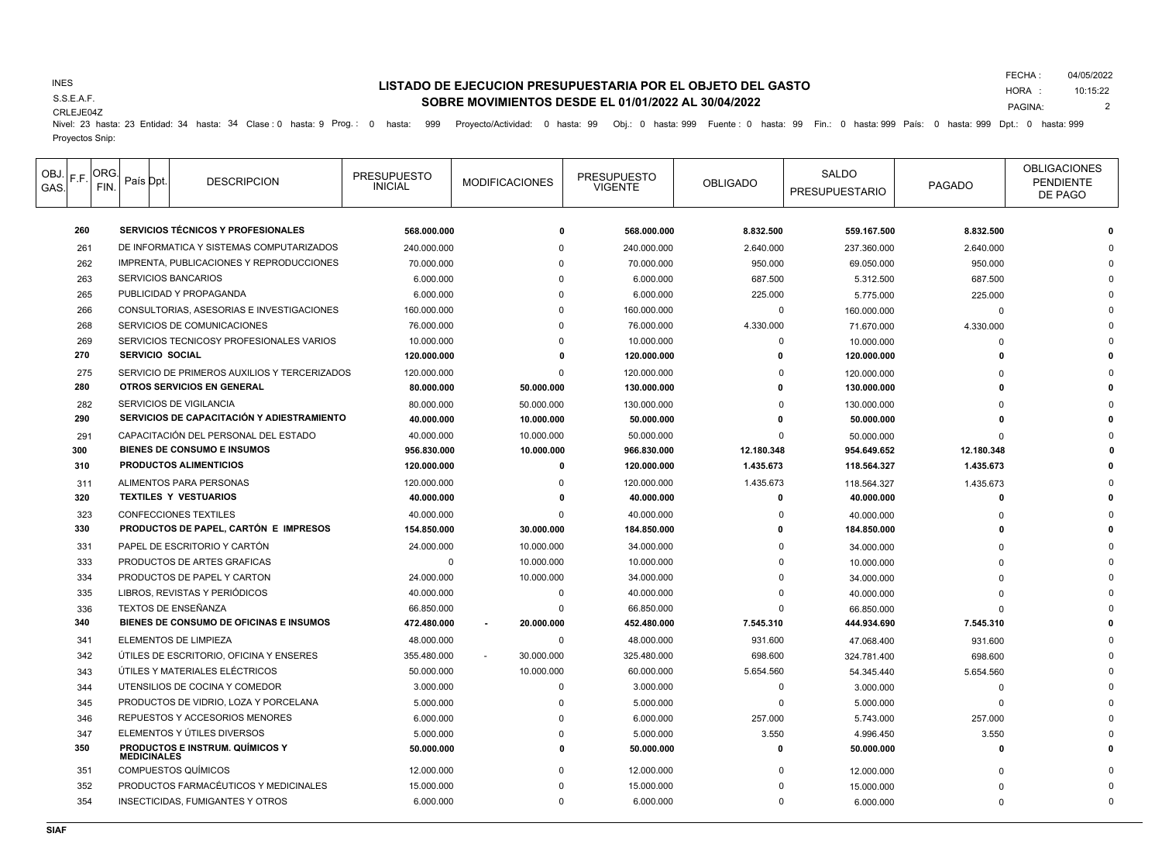### INES

S.S.E.A.F.

## **LISTADO DE EJECUCION PRESUPUESTARIA POR EL OBJETO DEL GASTO SOBRE MOVIMIENTOS DESDE EL 01/01/2022 AL 30/04/2022**

FECHA : 04/05/2022

HORA : PAGINA: 10:15:22 2

CRLEJE04Z

Nivel: 23 hasta: 23 Entidad: 34 hasta: 34 Clase : 0 hasta: 9 Prog.: 0 hasta: 999 Proyecto/Actividad: 0 hasta: 99 Obj.: 0 hasta: 999 Fuente : 0 hasta: 99 Fin.: 0 hasta: 999 País: 0 hasta: 999 Dpt.: 0 hasta: 999 Proyectos Snip:

| OBJ.<br>GAS | F.F. | ORG.<br>FIN.                              | País Dpt.                                             |  | <b>DESCRIPCION</b>                      | <b>PRESUPUESTO</b><br><b>INICIAL</b> | <b>MODIFICACIONES</b> | <b>PRESUPUESTO</b><br><b>VIGENTE</b> | <b>OBLIGADO</b> | SALDO<br><b>PRESUPUESTARIO</b> | PAGADO     | <b>OBLIGACIONES</b><br><b>PENDIENTE</b><br>DE PAGO |
|-------------|------|-------------------------------------------|-------------------------------------------------------|--|-----------------------------------------|--------------------------------------|-----------------------|--------------------------------------|-----------------|--------------------------------|------------|----------------------------------------------------|
| 260         |      | <b>SERVICIOS TÉCNICOS Y PROFESIONALES</b> |                                                       |  | 568.000.000                             | $\Omega$                             | 568.000.000           | 8.832.500                            | 559.167.500     | 8.832.500                      |            |                                                    |
|             | 261  |                                           | DE INFORMATICA Y SISTEMAS COMPUTARIZADOS              |  |                                         | 240.000.000                          | $\mathbf 0$           | 240.000.000                          | 2.640.000       | 237.360.000                    | 2.640.000  |                                                    |
|             | 262  |                                           | IMPRENTA, PUBLICACIONES Y REPRODUCCIONES              |  |                                         | 70.000.000                           | $\Omega$              | 70.000.000                           | 950.000         | 69.050.000                     | 950.000    |                                                    |
|             | 263  |                                           | <b>SERVICIOS BANCARIOS</b>                            |  |                                         | 6.000.000                            | $\Omega$              | 6.000.000                            | 687.500         | 5.312.500                      | 687.500    |                                                    |
|             | 265  |                                           | PUBLICIDAD Y PROPAGANDA                               |  |                                         | 6.000.000                            | $\Omega$              | 6.000.000                            | 225.000         | 5.775.000                      | 225.000    |                                                    |
|             | 266  |                                           | CONSULTORIAS, ASESORIAS E INVESTIGACIONES             |  |                                         | 160.000.000                          | $\Omega$              | 160.000.000                          | $\mathbf 0$     | 160.000.000                    | $\Omega$   |                                                    |
|             | 268  |                                           | SERVICIOS DE COMUNICACIONES                           |  |                                         | 76.000.000                           | $\Omega$              | 76.000.000                           | 4.330.000       | 71.670.000                     | 4.330.000  |                                                    |
|             | 269  |                                           | SERVICIOS TECNICOSY PROFESIONALES VARIOS              |  |                                         | 10.000.000                           | $\Omega$              | 10.000.000                           | $\Omega$        | 10.000.000                     | $\Omega$   |                                                    |
|             | 270  |                                           | <b>SERVICIO SOCIAL</b>                                |  |                                         | 120.000.000                          | $\Omega$              | 120.000.000                          | $\Omega$        | 120.000.000                    | 0          |                                                    |
|             | 275  |                                           | SERVICIO DE PRIMEROS AUXILIOS Y TERCERIZADOS          |  |                                         | 120.000.000                          | $\Omega$              | 120.000.000                          | $\Omega$        | 120.000.000                    |            |                                                    |
|             | 280  |                                           | OTROS SERVICIOS EN GENERAL                            |  |                                         | 80.000.000                           | 50.000.000            | 130.000.000                          | $\Omega$        | 130.000.000                    |            |                                                    |
|             | 282  |                                           | SERVICIOS DE VIGILANCIA                               |  |                                         | 80.000.000                           | 50.000.000            | 130.000.000                          | $\Omega$        | 130.000.000                    | n          |                                                    |
|             | 290  |                                           | SERVICIOS DE CAPACITACIÓN Y ADIESTRAMIENTO            |  |                                         | 40.000.000                           | 10.000.000            | 50.000.000                           |                 | 50.000.000                     |            |                                                    |
|             | 291  |                                           |                                                       |  | CAPACITACIÓN DEL PERSONAL DEL ESTADO    | 40.000.000                           | 10.000.000            | 50.000.000                           | $\Omega$        | 50.000.000                     | $\Omega$   |                                                    |
|             | 300  |                                           |                                                       |  | <b>BIENES DE CONSUMO E INSUMOS</b>      | 956.830.000                          | 10.000.000            | 966.830.000                          | 12.180.348      | 954.649.652                    | 12.180.348 |                                                    |
|             | 310  |                                           | <b>PRODUCTOS ALIMENTICIOS</b>                         |  |                                         | 120.000.000                          | $\Omega$              | 120.000.000                          | 1.435.673       | 118.564.327                    | 1.435.673  |                                                    |
|             | 311  |                                           | ALIMENTOS PARA PERSONAS                               |  |                                         | 120.000.000                          | $\Omega$              | 120.000.000                          | 1.435.673       | 118.564.327                    | 1.435.673  |                                                    |
|             | 320  |                                           |                                                       |  | <b>TEXTILES Y VESTUARIOS</b>            | 40.000.000                           |                       | 40.000.000                           | $\mathbf{0}$    | 40.000.000                     | 0          |                                                    |
|             | 323  |                                           | <b>CONFECCIONES TEXTILES</b>                          |  |                                         | 40.000.000                           | $\Omega$              | 40.000.000                           | $\Omega$        | 40.000.000                     |            |                                                    |
|             | 330  |                                           | PRODUCTOS DE PAPEL, CARTÓN E IMPRESOS                 |  |                                         | 154.850.000                          | 30.000.000            | 184.850.000                          | $\Omega$        | 184.850.000                    | n          |                                                    |
|             | 331  |                                           | PAPEL DE ESCRITORIO Y CARTÓN                          |  |                                         | 24.000.000                           | 10.000.000            | 34.000.000                           | $\Omega$        | 34.000.000                     | n          |                                                    |
|             | 333  |                                           | PRODUCTOS DE ARTES GRAFICAS                           |  |                                         | $\mathbf 0$                          | 10.000.000            | 10.000.000                           | $\mathbf 0$     | 10.000.000                     |            |                                                    |
|             | 334  |                                           | PRODUCTOS DE PAPEL Y CARTON                           |  |                                         | 24.000.000                           | 10.000.000            | 34.000.000                           | $\Omega$        | 34.000.000                     |            |                                                    |
|             | 335  |                                           |                                                       |  | LIBROS, REVISTAS Y PERIÓDICOS           | 40.000.000                           | $\Omega$              | 40.000.000                           | $\Omega$        | 40.000.000                     |            |                                                    |
|             | 336  |                                           | TEXTOS DE ENSEÑANZA                                   |  |                                         | 66.850.000                           | $\Omega$              | 66.850.000                           | $\Omega$        | 66.850.000                     | O          |                                                    |
|             | 340  |                                           | BIENES DE CONSUMO DE OFICINAS E INSUMOS               |  |                                         | 472.480.000                          | 20.000.000            | 452.480.000                          | 7.545.310       | 444.934.690                    | 7.545.310  |                                                    |
|             | 341  |                                           |                                                       |  | <b>ELEMENTOS DE LIMPIEZA</b>            | 48.000.000                           | $\mathbf 0$           | 48.000.000                           | 931.600         | 47.068.400                     | 931.600    |                                                    |
|             | 342  |                                           | ÚTILES DE ESCRITORIO, OFICINA Y ENSERES               |  |                                         | 355.480.000                          | 30.000.000            | 325.480.000                          | 698.600         | 324.781.400                    | 698.600    |                                                    |
|             | 343  |                                           | ÚTILES Y MATERIALES ELÉCTRICOS                        |  |                                         | 50.000.000                           | 10.000.000            | 60.000.000                           | 5.654.560       | 54.345.440                     | 5.654.560  |                                                    |
|             | 344  |                                           | UTENSILIOS DE COCINA Y COMEDOR                        |  |                                         | 3.000.000                            | $\Omega$              | 3.000.000                            | $\mathbf 0$     | 3.000.000                      | $\Omega$   |                                                    |
|             | 345  |                                           | PRODUCTOS DE VIDRIO, LOZA Y PORCELANA                 |  |                                         | 5.000.000                            | $\Omega$              | 5.000.000                            | $\mathbf 0$     | 5.000.000                      | $\Omega$   |                                                    |
|             | 346  |                                           |                                                       |  | REPUESTOS Y ACCESORIOS MENORES          | 6.000.000                            | $\Omega$              | 6.000.000                            | 257.000         | 5.743.000                      | 257.000    |                                                    |
|             | 347  |                                           |                                                       |  | ELEMENTOS Y ÚTILES DIVERSOS             | 5.000.000                            | $\Omega$              | 5.000.000                            | 3.550           | 4.996.450                      | 3.550      |                                                    |
|             | 350  |                                           | PRODUCTOS E INSTRUM. QUÍMICOS Y<br><b>MEDICINALES</b> |  |                                         | 50.000.000                           | $\mathbf{0}$          | 50.000.000                           | $\Omega$        | 50.000.000                     | O          |                                                    |
|             | 351  |                                           |                                                       |  | <b>COMPUESTOS QUÍMICOS</b>              | 12.000.000                           | $\Omega$              | 12.000.000                           | $\Omega$        | 12.000.000                     | ſ          |                                                    |
|             | 352  |                                           | PRODUCTOS FARMACÉUTICOS Y MEDICINALES                 |  |                                         | 15.000.000                           | $\Omega$              | 15.000.000                           | $\Omega$        | 15.000.000                     |            |                                                    |
|             | 354  |                                           |                                                       |  | <b>INSECTICIDAS, FUMIGANTES Y OTROS</b> | 6.000.000                            | $\Omega$              | 6.000.000                            | $\Omega$        | 6.000.000                      | $\Omega$   |                                                    |